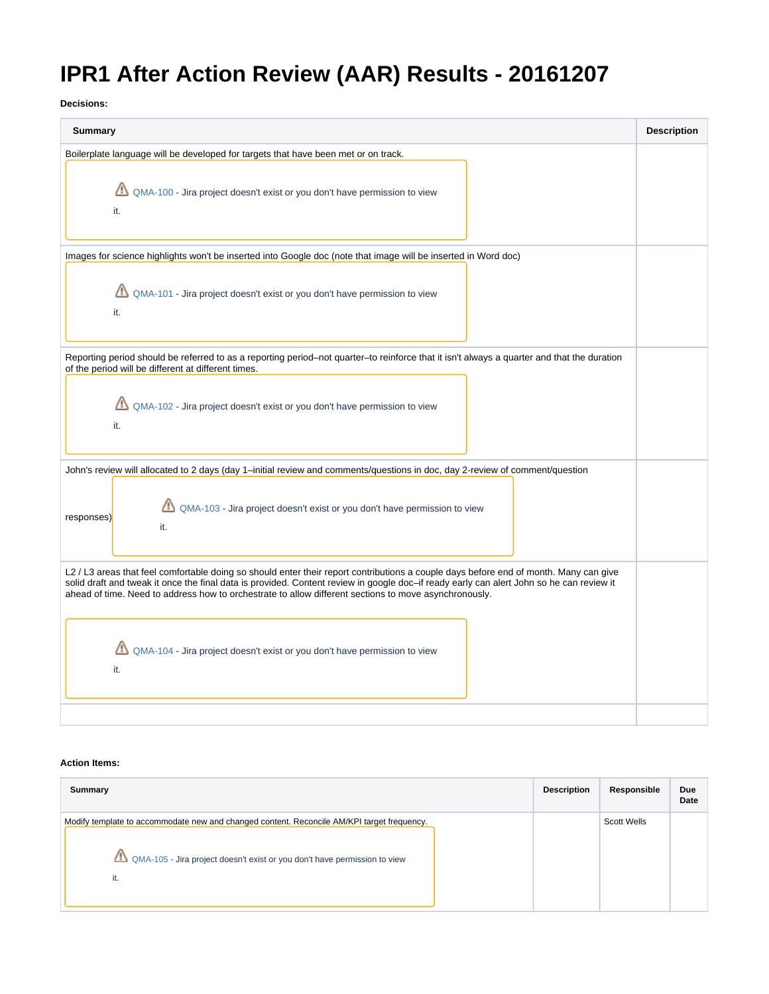## **IPR1 After Action Review (AAR) Results - 20161207**

**Decisions:**

| <b>Summary</b>                                                                                                                                                                                                                                                                                                                                                                             | <b>Description</b> |
|--------------------------------------------------------------------------------------------------------------------------------------------------------------------------------------------------------------------------------------------------------------------------------------------------------------------------------------------------------------------------------------------|--------------------|
| Boilerplate language will be developed for targets that have been met or on track.                                                                                                                                                                                                                                                                                                         |                    |
| QMA-100 - Jira project doesn't exist or you don't have permission to view<br>it.                                                                                                                                                                                                                                                                                                           |                    |
| Images for science highlights won't be inserted into Google doc (note that image will be inserted in Word doc)                                                                                                                                                                                                                                                                             |                    |
| QMA-101 - Jira project doesn't exist or you don't have permission to view<br>it.                                                                                                                                                                                                                                                                                                           |                    |
| Reporting period should be referred to as a reporting period–not quarter–to reinforce that it isn't always a quarter and that the duration<br>of the period will be different at different times.                                                                                                                                                                                          |                    |
| QMA-102 - Jira project doesn't exist or you don't have permission to view<br>it.                                                                                                                                                                                                                                                                                                           |                    |
| John's review will allocated to 2 days (day 1-initial review and comments/questions in doc, day 2-review of comment/question                                                                                                                                                                                                                                                               |                    |
| QMA-103 - Jira project doesn't exist or you don't have permission to view<br>responses)<br>it.                                                                                                                                                                                                                                                                                             |                    |
| L2 / L3 areas that feel comfortable doing so should enter their report contributions a couple days before end of month. Many can give<br>solid draft and tweak it once the final data is provided. Content review in google doc-if ready early can alert John so he can review it<br>ahead of time. Need to address how to orchestrate to allow different sections to move asynchronously. |                    |
| QMA-104 - Jira project doesn't exist or you don't have permission to view<br>it.                                                                                                                                                                                                                                                                                                           |                    |
|                                                                                                                                                                                                                                                                                                                                                                                            |                    |

## **Action Items:**

| Summary                                                                                                                                                                        | <b>Description</b> | Responsible | Due<br>Date |
|--------------------------------------------------------------------------------------------------------------------------------------------------------------------------------|--------------------|-------------|-------------|
| Modify template to accommodate new and changed content. Reconcile AM/KPI target frequency.<br>QMA-105 - Jira project doesn't exist or you don't have permission to view<br>it. |                    | Scott Wells |             |